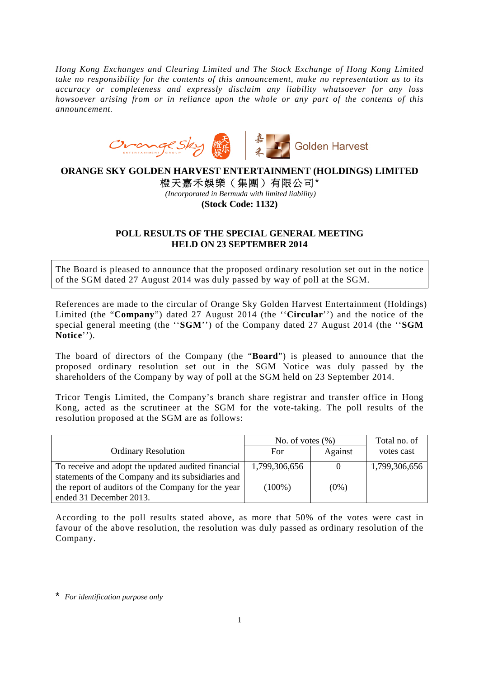*Hong Kong Exchanges and Clearing Limited and The Stock Exchange of Hong Kong Limited take no responsibility for the contents of this announcement, make no representation as to its accuracy or completeness and expressly disclaim any liability whatsoever for any loss howsoever arising from or in reliance upon the whole or any part of the contents of this announcement.* 



## **ORANGE SKY GOLDEN HARVEST ENTERTAINMENT (HOLDINGS) LIMITED**  橙天嘉禾娛樂(集團)有限公司\*

*(Incorporated in Bermuda with limited liability)*  **(Stock Code: 1132)** 

## **POLL RESULTS OF THE SPECIAL GENERAL MEETING HELD ON 23 SEPTEMBER 2014**

The Board is pleased to announce that the proposed ordinary resolution set out in the notice of the SGM dated 27 August 2014 was duly passed by way of poll at the SGM.

References are made to the circular of Orange Sky Golden Harvest Entertainment (Holdings) Limited (the "**Company**") dated 27 August 2014 (the ''**Circular**'') and the notice of the special general meeting (the ''**SGM**'') of the Company dated 27 August 2014 (the ''**SGM Notice**'').

The board of directors of the Company (the "**Board**") is pleased to announce that the proposed ordinary resolution set out in the SGM Notice was duly passed by the shareholders of the Company by way of poll at the SGM held on 23 September 2014.

Tricor Tengis Limited, the Company's branch share registrar and transfer office in Hong Kong, acted as the scrutineer at the SGM for the vote-taking. The poll results of the resolution proposed at the SGM are as follows:

|                                                    | No. of votes $(\% )$ |         | Total no. of  |
|----------------------------------------------------|----------------------|---------|---------------|
| <b>Ordinary Resolution</b>                         | <b>For</b>           | Against | votes cast    |
| To receive and adopt the updated audited financial | 1,799,306,656        |         | 1,799,306,656 |
| statements of the Company and its subsidiaries and |                      |         |               |
| the report of auditors of the Company for the year | $(100\%)$            | $(0\%)$ |               |
| ended 31 December 2013.                            |                      |         |               |

According to the poll results stated above, as more that 50% of the votes were cast in favour of the above resolution, the resolution was duly passed as ordinary resolution of the Company.

\* *For identification purpose only*